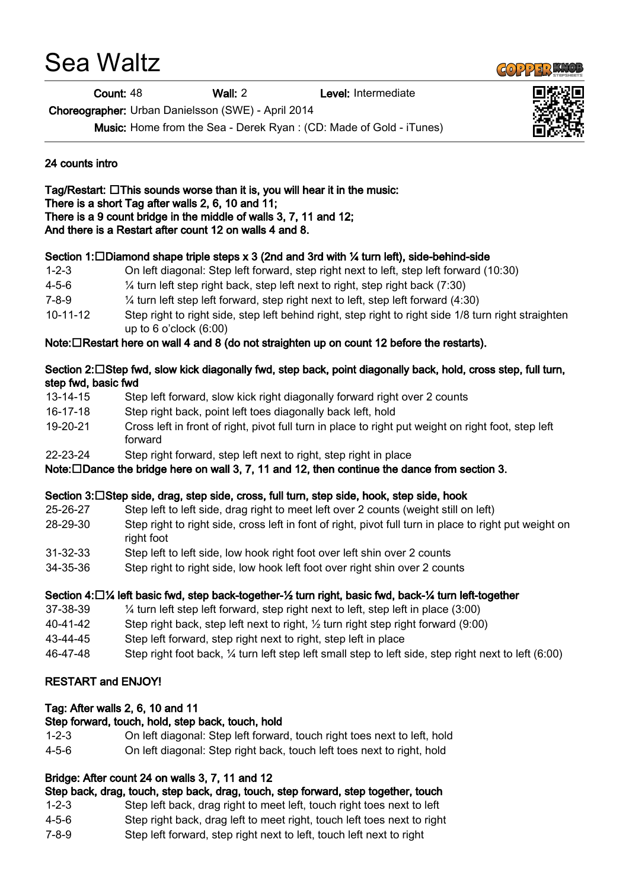Sea Waltz

Count: 48 Wall: 2 Level: Intermediate

Choreographer: Urban Danielsson (SWE) - April 2014

Music: Home from the Sea - Derek Ryan : (CD: Made of Gold - iTunes)

# 24 counts intro

#### Tag/Restart:  $\Box$ This sounds worse than it is, you will hear it in the music: There is a short Tag after walls 2, 6, 10 and 11; There is a 9 count bridge in the middle of walls 3, 7, 11 and 12; And there is a Restart after count 12 on walls 4 and 8.

#### Section 1: $\Box$ Diamond shape triple steps x 3 (2nd and 3rd with 1/4 turn left), side-behind-side

1-2-3 On left diagonal: Step left forward, step right next to left, step left forward (10:30) 4-5-6 ¼ turn left step right back, step left next to right, step right back (7:30) 7-8-9 ¼ turn left step left forward, step right next to left, step left forward (4:30) 10-11-12 Step right to right side, step left behind right, step right to right side 1/8 turn right straighten up to 6 o'clock (6:00)

# Note: $\Box$ Restart here on wall 4 and 8 (do not straighten up on count 12 before the restarts).

# Section 2:  $\Box$ Step fwd, slow kick diagonally fwd, step back, point diagonally back, hold, cross step, full turn, step fwd, basic fwd

- 13-14-15 Step left forward, slow kick right diagonally forward right over 2 counts
- 16-17-18 Step right back, point left toes diagonally back left, hold
- 19-20-21 Cross left in front of right, pivot full turn in place to right put weight on right foot, step left forward
- 22-23-24 Step right forward, step left next to right, step right in place

# Note: $\square$ Dance the bridge here on wall 3, 7, 11 and 12, then continue the dance from section 3.

# Section 3:  $\Box$ Step side, drag, step side, cross, full turn, step side, hook, step side, hook

- 25-26-27 Step left to left side, drag right to meet left over 2 counts (weight still on left)
- 28-29-30 Step right to right side, cross left in font of right, pivot full turn in place to right put weight on right foot
- 31-32-33 Step left to left side, low hook right foot over left shin over 2 counts
- 34-35-36 Step right to right side, low hook left foot over right shin over 2 counts

# Section 4: $\Box$ % left basic fwd, step back-together-1% turn right, basic fwd, back-1% turn left-together

- 37-38-39 ¼ turn left step left forward, step right next to left, step left in place (3:00)
- 40-41-42 Step right back, step left next to right, ½ turn right step right forward (9:00)
- 43-44-45 Step left forward, step right next to right, step left in place
- 46-47-48 Step right foot back, ¼ turn left step left small step to left side, step right next to left (6:00)

# RESTART and ENJOY!

#### Tag: After walls 2, 6, 10 and 11

# Step forward, touch, hold, step back, touch, hold

- 1-2-3 On left diagonal: Step left forward, touch right toes next to left, hold
- 4-5-6 On left diagonal: Step right back, touch left toes next to right, hold

# Bridge: After count 24 on walls 3, 7, 11 and 12

- Step back, drag, touch, step back, drag, touch, step forward, step together, touch
- 1-2-3 Step left back, drag right to meet left, touch right toes next to left
- 4-5-6 Step right back, drag left to meet right, touch left toes next to right
- 7-8-9 Step left forward, step right next to left, touch left next to right